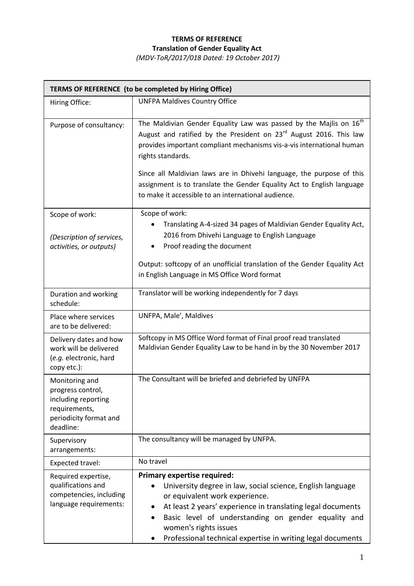## **TERMS OF REFERENCE Translation of Gender Equality Act**

*(MDV-ToR/2017/018 Dated: 19 October 2017)*

| TERMS OF REFERENCE (to be completed by Hiring Office)                                                              |                                                                                                                                                                                                                                                                                                                                                                                                                                                                   |  |
|--------------------------------------------------------------------------------------------------------------------|-------------------------------------------------------------------------------------------------------------------------------------------------------------------------------------------------------------------------------------------------------------------------------------------------------------------------------------------------------------------------------------------------------------------------------------------------------------------|--|
| Hiring Office:                                                                                                     | <b>UNFPA Maldives Country Office</b>                                                                                                                                                                                                                                                                                                                                                                                                                              |  |
| Purpose of consultancy:                                                                                            | The Maldivian Gender Equality Law was passed by the Majlis on $16^{th}$<br>August and ratified by the President on 23 <sup>rd</sup> August 2016. This law<br>provides important compliant mechanisms vis-a-vis international human<br>rights standards.<br>Since all Maldivian laws are in Dhivehi language, the purpose of this<br>assignment is to translate the Gender Equality Act to English language<br>to make it accessible to an international audience. |  |
| Scope of work:<br>(Description of services,<br>activities, or outputs)                                             | Scope of work:<br>Translating A-4-sized 34 pages of Maldivian Gender Equality Act,<br>2016 from Dhivehi Language to English Language<br>Proof reading the document<br>Output: softcopy of an unofficial translation of the Gender Equality Act<br>in English Language in MS Office Word format                                                                                                                                                                    |  |
| Duration and working<br>schedule:                                                                                  | Translator will be working independently for 7 days                                                                                                                                                                                                                                                                                                                                                                                                               |  |
| Place where services<br>are to be delivered:                                                                       | UNFPA, Male', Maldives                                                                                                                                                                                                                                                                                                                                                                                                                                            |  |
| Delivery dates and how<br>work will be delivered<br>(e.g. electronic, hard<br>copy etc.):                          | Softcopy in MS Office Word format of Final proof read translated<br>Maldivian Gender Equality Law to be hand in by the 30 November 2017                                                                                                                                                                                                                                                                                                                           |  |
| Monitoring and<br>progress control,<br>including reporting<br>requirements,<br>periodicity format and<br>deadline: | The Consultant will be briefed and debriefed by UNFPA                                                                                                                                                                                                                                                                                                                                                                                                             |  |
| Supervisory<br>arrangements:                                                                                       | The consultancy will be managed by UNFPA.                                                                                                                                                                                                                                                                                                                                                                                                                         |  |
| Expected travel:                                                                                                   | No travel                                                                                                                                                                                                                                                                                                                                                                                                                                                         |  |
| Required expertise,<br>qualifications and<br>competencies, including<br>language requirements:                     | <b>Primary expertise required:</b><br>University degree in law, social science, English language<br>or equivalent work experience.<br>At least 2 years' experience in translating legal documents<br>$\bullet$<br>Basic level of understanding on gender equality and<br>women's rights issues<br>Professional technical expertise in writing legal documents                                                                                                     |  |